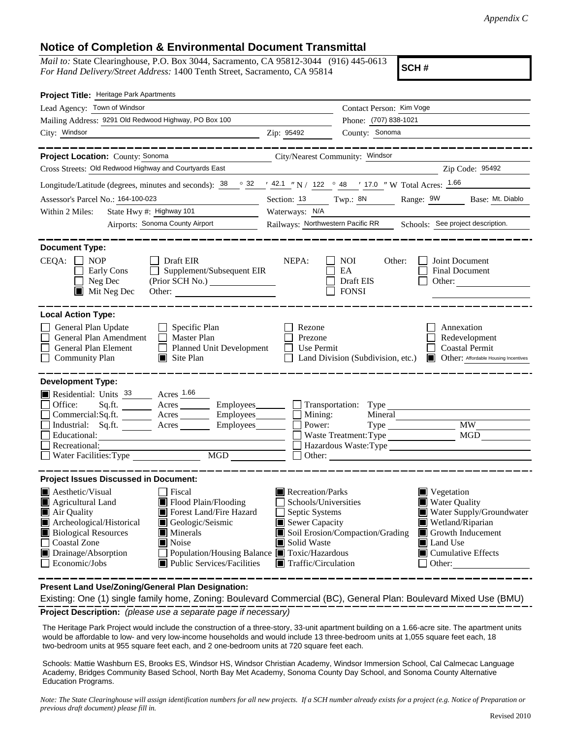## **Notice of Completion & Environmental Document Transmittal**

*Mail to:* State Clearinghouse, P.O. Box 3044, Sacramento, CA 95812-3044 (916) 445-0613 *For Hand Delivery/Street Address:* 1400 Tenth Street, Sacramento, CA 95814

**SCH #**

| Project Title: Heritage Park Apartments                                                                                                                                                             |                                                                     |                                          |                                           |
|-----------------------------------------------------------------------------------------------------------------------------------------------------------------------------------------------------|---------------------------------------------------------------------|------------------------------------------|-------------------------------------------|
| Lead Agency: Town of Windsor                                                                                                                                                                        |                                                                     | Contact Person: Kim Voge                 |                                           |
| Mailing Address: 9291 Old Redwood Highway, PO Box 100                                                                                                                                               |                                                                     | Phone: (707) 838-1021                    |                                           |
| City: Windsor<br>Zip: 95492                                                                                                                                                                         |                                                                     | County: Sonoma                           |                                           |
|                                                                                                                                                                                                     |                                                                     |                                          |                                           |
| Project Location: County: Sonoma<br>City/Nearest Community: Windsor                                                                                                                                 |                                                                     |                                          |                                           |
| Cross Streets: Old Redwood Highway and Courtyards East                                                                                                                                              |                                                                     |                                          | Zip Code: 95492                           |
| Longitude/Latitude (degrees, minutes and seconds): $\frac{38}{100}$ $\frac{32}{100}$ $\frac{42.1}{100}$ N / $\frac{122}{100}$ $\frac{48}{100}$ $\frac{17.0}{100}$ W Total Acres: $\frac{1.66}{100}$ |                                                                     |                                          |                                           |
| Assessor's Parcel No.: 164-100-023                                                                                                                                                                  | Section: 13                                                         | Twp.: 8N                                 | Range: 9W Base: Mt. Diablo                |
| State Hwy #: Highway 101<br>Within 2 Miles:                                                                                                                                                         | Waterways: N/A                                                      |                                          |                                           |
| Airports: Sonoma County Airport                                                                                                                                                                     | Railways: Northwestern Pacific RR Schools: See project description. |                                          |                                           |
|                                                                                                                                                                                                     |                                                                     |                                          |                                           |
| <b>Document Type:</b>                                                                                                                                                                               |                                                                     |                                          |                                           |
| $CEQA: \Box NP$<br>Draft EIR<br>$\Box$ Supplement/Subsequent EIR<br>Early Cons                                                                                                                      | NEPA:                                                               | NOI<br>Other:<br>EA                      | Joint Document<br>Final Document          |
| $\Box$ Neg Dec                                                                                                                                                                                      |                                                                     | Draft EIS                                | Other:                                    |
| $\blacksquare$ Mit Neg Dec                                                                                                                                                                          |                                                                     | $\Box$ FONSI                             |                                           |
|                                                                                                                                                                                                     |                                                                     |                                          |                                           |
| <b>Local Action Type:</b>                                                                                                                                                                           |                                                                     |                                          |                                           |
| General Plan Update<br>$\Box$ Specific Plan                                                                                                                                                         | Rezone                                                              |                                          | Annexation                                |
| Г<br>General Plan Amendment<br>$\Box$ Master Plan<br>Planned Unit Development                                                                                                                       | Prezone<br>Use Permit<br>$\perp$                                    |                                          | Redevelopment<br><b>Coastal Permit</b>    |
| General Plan Element<br>$\Box$<br><b>Community Plan</b><br>$\blacksquare$ Site Plan                                                                                                                 |                                                                     | $\Box$ Land Division (Subdivision, etc.) | Other: Affordable Housing Incentives      |
|                                                                                                                                                                                                     |                                                                     |                                          |                                           |
| <b>Development Type:</b>                                                                                                                                                                            |                                                                     |                                          |                                           |
| Residential: Units 33 Acres 1.66                                                                                                                                                                    |                                                                     |                                          |                                           |
| Sq.ft. ________ Acres _________ Employees ________ __ Transportation: Type<br>Office:                                                                                                               |                                                                     |                                          |                                           |
| Commercial:Sq.ft. <u>Acres</u> Acres Employees                                                                                                                                                      | $\blacksquare$ Mining:                                              | Mineral                                  |                                           |
| Industrial: Sq.ft. Acres Employees<br>Educational:                                                                                                                                                  | Power:                                                              | Type MW<br>Waste Treatment: Type         | MGD                                       |
| Recreational:                                                                                                                                                                                       |                                                                     | Hazardous Waste: Type                    |                                           |
| MGD<br><br>$\Box$                                                                                                                                                                                   | Other:                                                              |                                          |                                           |
|                                                                                                                                                                                                     |                                                                     |                                          |                                           |
| <b>Project Issues Discussed in Document:</b>                                                                                                                                                        |                                                                     |                                          |                                           |
| <b>A</b> esthetic/Visual<br>Fiscal                                                                                                                                                                  | Recreation/Parks                                                    |                                          | $\blacksquare$ Vegetation                 |
| Agricultural Land<br>Flood Plain/Flooding<br>Air Quality<br><b>I</b> Forest Land/Fire Hazard                                                                                                        | Schools/Universities                                                |                                          | Water Quality<br>Water Supply/Groundwater |
| Archeological/Historical<br>Geologic/Seismic                                                                                                                                                        | $\Box$ Septic Systems<br>Sewer Capacity                             |                                          | Wetland/Riparian                          |
| <b>Biological Resources</b><br>$\blacksquare$ Minerals                                                                                                                                              |                                                                     | Soil Erosion/Compaction/Grading          | $\blacksquare$ Growth Inducement          |
| <b>Coastal Zone</b><br>$\blacksquare$ Noise                                                                                                                                                         | Solid Waste                                                         |                                          | <b>■</b> Land Use                         |
| Population/Housing Balance ■ Toxic/Hazardous<br>Drainage/Absorption                                                                                                                                 |                                                                     |                                          | Cumulative Effects                        |
| $\Box$ Economic/Jobs<br>$\blacksquare$ Public Services/Facilities                                                                                                                                   | $\blacksquare$ Traffic/Circulation                                  |                                          | $\Box$ Other:                             |

**Present Land Use/Zoning/General Plan Designation:**

**Project Description:** *(please use a separate page if necessary)* Existing: One (1) single family home, Zoning: Boulevard Commercial (BC), General Plan: Boulevard Mixed Use (BMU)

 The Heritage Park Project would include the construction of a three-story, 33-unit apartment building on a 1.66-acre site. The apartment units would be affordable to low- and very low-income households and would include 13 three-bedroom units at 1,055 square feet each, 18 two-bedroom units at 955 square feet each, and 2 one-bedroom units at 720 square feet each.

Schools: Mattie Washburn ES, Brooks ES, Windsor HS, Windsor Christian Academy, Windsor Immersion School, Cal Calmecac Language Academy, Bridges Community Based School, North Bay Met Academy, Sonoma County Day School, and Sonoma County Alternative Education Programs.

*Note: The State Clearinghouse will assign identification numbers for all new projects. If a SCH number already exists for a project (e.g. Notice of Preparation or previous draft document) please fill in.*